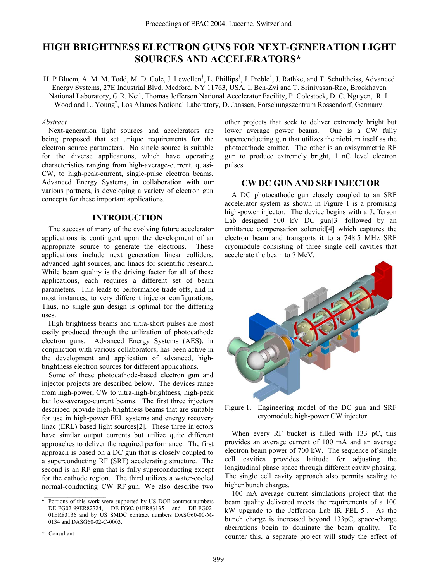# **HIGH BRIGHTNESS ELECTRON GUNS FOR NEXT-GENERATION LIGHT SOURCES AND ACCELERATORS\***

H. P Bluem, A. M. M. Todd, M. D. Cole, J. Lewellen<sup>†</sup>, L. Phillips<sup>†</sup>, J. Preble<sup>†</sup>, J. Rathke, and T. Schultheiss, Advanced Energy Systems, 27E Industrial Blvd. Medford, NY 11763, USA, I. Ben-Zvi and T. Srinivasan-Rao, Brookhaven National Laboratory, G.R. Neil, Thomas Jefferson National Accelerator Facility, P. Colestock, D. C. Nguyen, R. L Wood and L. Young<sup>†</sup>, Los Alamos National Laboratory, D. Janssen, Forschungszentrum Rossendorf, Germany.

Next-generation light sources and accelerators are being proposed that set unique requirements for the electron source parameters. No single source is suitable for the diverse applications, which have operating characteristics ranging from high-average-current, quasi-CW, to high-peak-current, single-pulse electron beams. Advanced Energy Systems, in collaboration with our various partners, is developing a variety of electron gun concepts for these important applications.

## **INTRODUCTION**

The success of many of the evolving future accelerator applications is contingent upon the development of an appropriate source to generate the electrons. These applications include next generation linear colliders, advanced light sources, and linacs for scientific research. While beam quality is the driving factor for all of these applications, each requires a different set of beam parameters. This leads to performance trade-offs, and in most instances, to very different injector configurations. Thus, no single gun design is optimal for the differing uses.

High brightness beams and ultra-short pulses are most easily produced through the utilization of photocathode electron guns. Advanced Energy Systems (AES), in conjunction with various collaborators, has been active in the development and application of advanced, highbrightness electron sources for different applications.

Some of these photocathode-based electron gun and injector projects are described below. The devices range from high-power, CW to ultra-high-brightness, high-peak but low-average-current beams. The first three injectors described provide high-brightness beams that are suitable for use in high-power FEL systems and energy recovery linac (ERL) based light sources[2]. These three injectors have similar output currents but utilize quite different approaches to deliver the required performance. The first approach is based on a DC gun that is closely coupled to a superconducting RF (SRF) accelerating structure. The second is an RF gun that is fully superconducting except for the cathode region. The third utilizes a water-cooled normal-conducting CW RF gun. We also describe two

 $\dagger$  Consultant

*Abstract* other projects that seek to deliver extremely bright but lower average power beams. One is a CW fully superconducting gun that utilizes the niobium itself as the photocathode emitter. The other is an axisymmetric RF gun to produce extremely bright, 1 nC level electron pulses.

## **CW DC GUN AND SRF INJECTOR**

A DC photocathode gun closely coupled to an SRF accelerator system as shown in Figure 1 is a promising high-power injector. The device begins with a Jefferson Lab designed 500 kV DC gun[3] followed by an emittance compensation solenoid[4] which captures the electron beam and transports it to a 748.5 MHz SRF cryomodule consisting of three single cell cavities that accelerate the beam to 7 MeV.



Figure 1. Engineering model of the DC gun and SRF cryomodule high-power CW injector.

When every RF bucket is filled with 133 pC, this provides an average current of 100 mA and an average electron beam power of 700 kW. The sequence of single cell cavities provides latitude for adjusting the longitudinal phase space through different cavity phasing. The single cell cavity approach also permits scaling to higher bunch charges.

100 mA average current simulations project that the beam quality delivered meets the requirements of a 100 kW upgrade to the Jefferson Lab IR FEL[5]. As the bunch charge is increased beyond 133pC, space-charge aberrations begin to dominate the beam quality. To counter this, a separate project will study the effect of

<sup>\*</sup> Portions of this work were supported by US DOE contract numbers DE-FG02-99ER82724, DE-FG02-01ER83135 and DE-FG02- 01ER83136 and by US SMDC contract numbers DASG60-00-M-0134 and DASG60-02-C-0003.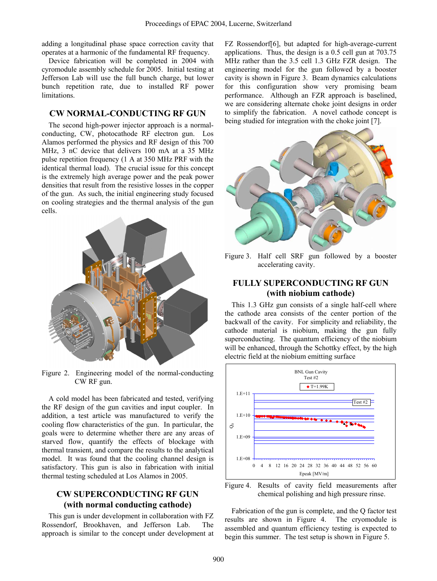adding a longitudinal phase space correction cavity that operates at a harmonic of the fundamental RF frequency.

Device fabrication will be completed in 2004 with cyromodule assembly schedule for 2005. Initial testing at Jefferson Lab will use the full bunch charge, but lower bunch repetition rate, due to installed RF power limitations.

## **CW NORMAL-CONDUCTING RF GUN**

The second high-power injector approach is a normalconducting, CW, photocathode RF electron gun. Los Alamos performed the physics and RF design of this 700 MHz, 3 nC device that delivers 100 mA at a 35 MHz pulse repetition frequency (1 A at 350 MHz PRF with the identical thermal load). The crucial issue for this concept is the extremely high average power and the peak power densities that result from the resistive losses in the copper of the gun. As such, the initial engineering study focused on cooling strategies and the thermal analysis of the gun cells.



Figure 2. Engineering model of the normal-conducting CW RF gun.

A cold model has been fabricated and tested, verifying the RF design of the gun cavities and input coupler. In addition, a test article was manufactured to verify the cooling flow characteristics of the gun. In particular, the goals were to determine whether there are any areas of starved flow, quantify the effects of blockage with thermal transient, and compare the results to the analytical model. It was found that the cooling channel design is satisfactory. This gun is also in fabrication with initial thermal testing scheduled at Los Alamos in 2005.

## **CW SUPERCONDUCTING RF GUN (with normal conducting cathode)**

This gun is under development in collaboration with FZ Rossendorf, Brookhaven, and Jefferson Lab. The approach is similar to the concept under development at FZ Rossendorf[6], but adapted for high-average-current applications. Thus, the design is a 0.5 cell gun at 703.75 MHz rather than the 3.5 cell 1.3 GHz FZR design. The engineering model for the gun followed by a booster cavity is shown in Figure 3. Beam dynamics calculations for this configuration show very promising beam performance. Although an FZR approach is baselined, we are considering alternate choke joint designs in order to simplify the fabrication. A novel cathode concept is being studied for integration with the choke joint [7].



Figure 3. Half cell SRF gun followed by a booster accelerating cavity.

## **FULLY SUPERCONDUCTING RF GUN (with niobium cathode)**

This 1.3 GHz gun consists of a single half-cell where the cathode area consists of the center portion of the backwall of the cavity. For simplicity and reliability, the cathode material is niobium, making the gun fully superconducting. The quantum efficiency of the niobium will be enhanced, through the Schottky effect, by the high electric field at the niobium emitting surface



Figure 4. Results of cavity field measurements after chemical polishing and high pressure rinse.

Fabrication of the gun is complete, and the Q factor test results are shown in Figure 4. The cryomodule is assembled and quantum efficiency testing is expected to begin this summer. The test setup is shown in Figure 5.